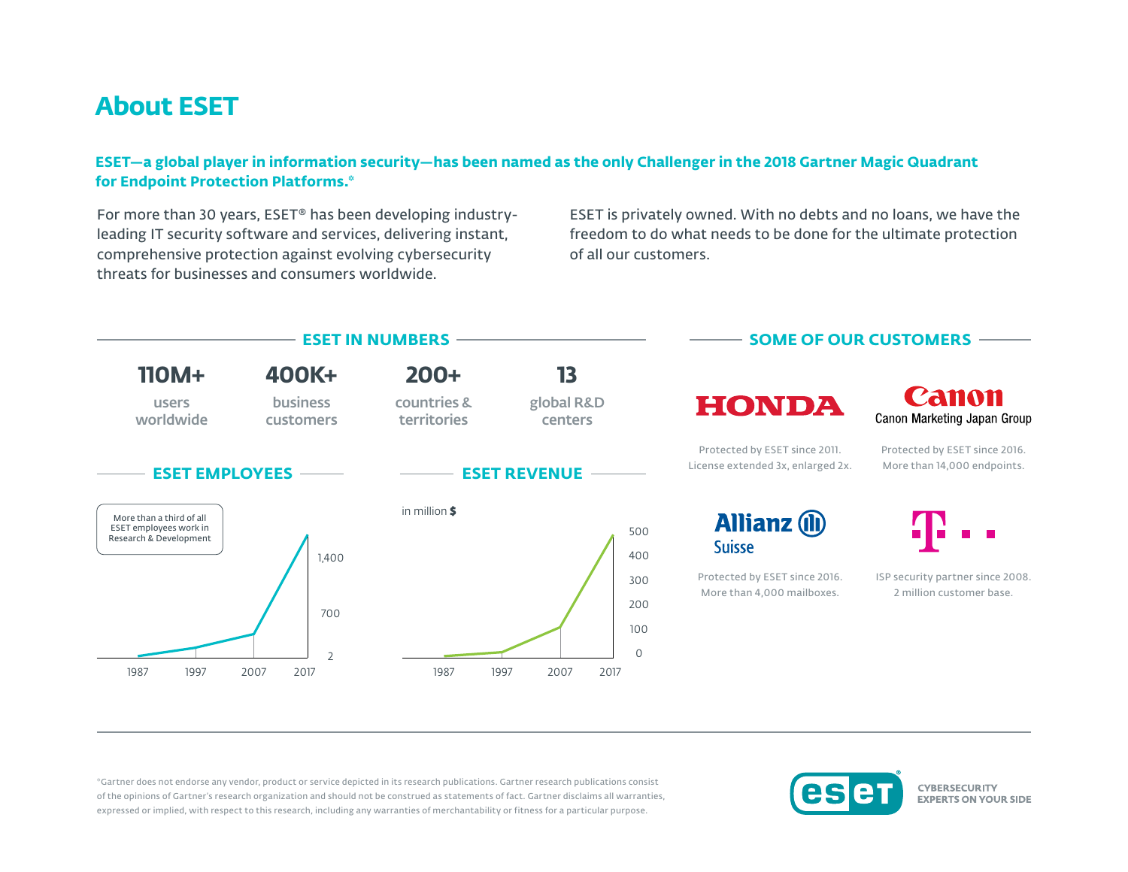## **About ESET**

## **ESET—a global player in information security—has been named as the only Challenger in the 2018 Gartner Magic Quadrant for Endpoint Protection Platforms.\***

For more than 30 years, ESET® has been developing industryleading IT security software and services, delivering instant, comprehensive protection against evolving cybersecurity threats for businesses and consumers worldwide.

ESET is privately owned. With no debts and no loans, we have the freedom to do what needs to be done for the ultimate protection of all our customers.



\*Gartner does not endorse any vendor, product or service depicted in its research publications. Gartner research publications consist of the opinions of Gartner's research organization and should not be construed as statements of fact. Gartner disclaims all warranties, expressed or implied, with respect to this research, including any warranties of merchantability or fitness for a particular purpose.